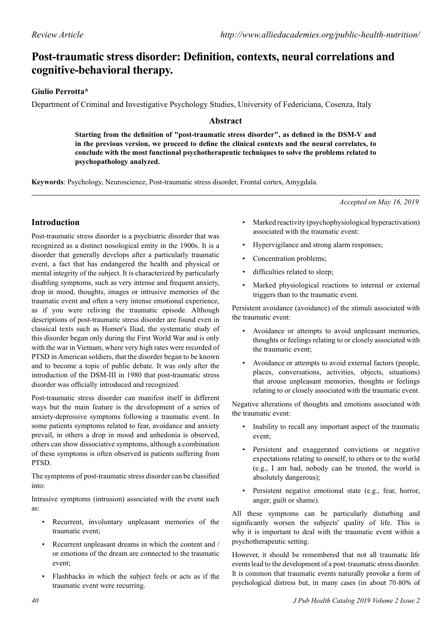# **Post-traumatic stress disorder: Definition, contexts, neural correlations and cognitive-behavioral therapy.**

# **Giulio Perrotta\***

Department of Criminal and Investigative Psychology Studies, University of Federiciana, Cosenza, Italy

# **Abstract**

**Starting from the definition of "post-traumatic stress disorder", as defined in the DSM-V and in the previous version, we proceed to define the clinical contexts and the neural correlates, to conclude with the most functional psychotherapeutic techniques to solve the problems related to psychopathology analyzed.**

**Keywords**: Psychology, Neuroscience, Post-traumatic stress disorder, Frontal cortex, Amygdala.

# **Introduction**

Post-traumatic stress disorder is a psychiatric disorder that was recognized as a distinct nosological entity in the 1900s. It is a disorder that generally develops after a particularly traumatic event, a fact that has endangered the health and physical or mental integrity of the subject. It is characterized by particularly disabling symptoms, such as very intense and frequent anxiety, drop in mood, thoughts, images or intrusive memories of the traumatic event and often a very intense emotional experience, as if you were reliving the traumatic episode. Although descriptions of post-traumatic stress disorder are found even in classical texts such as Homer's Iliad, the systematic study of this disorder began only during the First World War and is only with the war in Vietnam, where very high rates were recorded of PTSD in American soldiers, that the disorder began to be known and to become a topic of public debate. It was only after the introduction of the DSM-III in 1980 that post-traumatic stress disorder was officially introduced and recognized.

Post-traumatic stress disorder can manifest itself in different ways but the main feature is the development of a series of anxiety-depressive symptoms following a traumatic event. In some patients symptoms related to fear, avoidance and anxiety prevail, in others a drop in mood and anhedonia is observed, others can show dissociative symptoms, although a combination of these symptoms is often observed in patients suffering from PTSD.

The symptoms of post-traumatic stress disorder can be classified into:

Intrusive symptoms (intrusion) associated with the event such as:

- Recurrent, involuntary unpleasant memories of the traumatic event;
- Recurrent unpleasant dreams in which the content and / or emotions of the dream are connected to the traumatic event;
- Flashbacks in which the subject feels or acts as if the traumatic event were recurring.

*Accepted on May 16, 2019*

- Marked reactivity (psychophysiological hyperactivation) associated with the traumatic event:
- Hypervigilance and strong alarm responses;
- Concentration problems;
- difficulties related to sleep;
- Marked physiological reactions to internal or external triggers than to the traumatic event.

Persistent avoidance (avoidance) of the stimuli associated with the traumatic event:

- Avoidance or attempts to avoid unpleasant memories, thoughts or feelings relating to or closely associated with the traumatic event;
- Avoidance or attempts to avoid external factors (people, places, conversations, activities, objects, situations) that arouse unpleasant memories, thoughts or feelings relating to or closely associated with the traumatic event.

Negative alterations of thoughts and emotions associated with the traumatic event:

- Inability to recall any important aspect of the traumatic event;
- Persistent and exaggerated convictions or negative expectations relating to oneself, to others or to the world (e.g., I am bad, nobody can be trusted, the world is absolutely dangerous);
- Persistent negative emotional state (e.g., fear, horror, anger, guilt or shame).

All these symptoms can be particularly disturbing and significantly worsen the subjects' quality of life. This is why it is important to deal with the traumatic event within a psychotherapeutic setting.

However, it should be remembered that not all traumatic life events lead to the development of a post-traumatic stress disorder. It is common that traumatic events naturally provoke a form of psychological distress but, in many cases (in about 70-80% of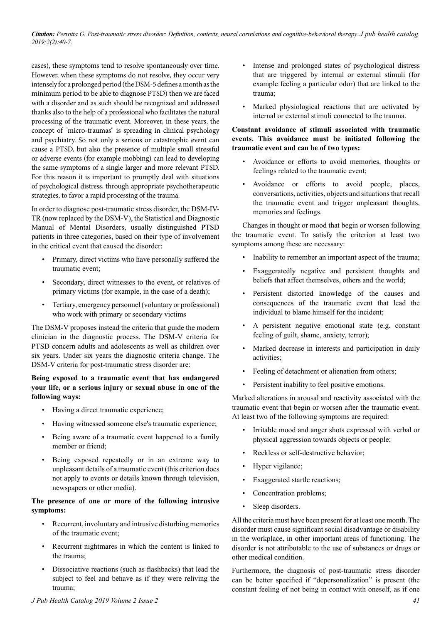cases), these symptoms tend to resolve spontaneously over time. However, when these symptoms do not resolve, they occur very intensely for a prolonged period (the DSM-5 defines a month as the minimum period to be able to diagnose PTSD) then we are faced with a disorder and as such should be recognized and addressed thanks also to the help of a professional who facilitates the natural processing of the traumatic event. Moreover, in these years, the concept of "micro-traumas" is spreading in clinical psychology and psychiatry. So not only a serious or catastrophic event can cause a PTSD, but also the presence of multiple small stressful or adverse events (for example mobbing) can lead to developing the same symptoms of a single larger and more relevant PTSD. For this reason it is important to promptly deal with situations of psychological distress, through appropriate psychotherapeutic strategies, to favor a rapid processing of the trauma.

In order to diagnose post-traumatic stress disorder, the DSM-IV-TR (now replaced by the DSM-V), the Statistical and Diagnostic Manual of Mental Disorders, usually distinguished PTSD patients in three categories, based on their type of involvement in the critical event that caused the disorder:

- Primary, direct victims who have personally suffered the traumatic event;
- Secondary, direct witnesses to the event, or relatives of primary victims (for example, in the case of a death);
- Tertiary, emergency personnel (voluntary or professional) who work with primary or secondary victims

The DSM-V proposes instead the criteria that guide the modern clinician in the diagnostic process. The DSM-V criteria for PTSD concern adults and adolescents as well as children over six years. Under six years the diagnostic criteria change. The DSM-V criteria for post-traumatic stress disorder are:

#### **Being exposed to a traumatic event that has endangered your life, or a serious injury or sexual abuse in one of the following ways:**

- Having a direct traumatic experience;
- Having witnessed someone else's traumatic experience;
- Being aware of a traumatic event happened to a family member or friend;
- Being exposed repeatedly or in an extreme way to unpleasant details of a traumatic event (this criterion does not apply to events or details known through television, newspapers or other media).

## **The presence of one or more of the following intrusive symptoms:**

- Recurrent, involuntary and intrusive disturbing memories of the traumatic event;
- Recurrent nightmares in which the content is linked to the trauma;
- Dissociative reactions (such as flashbacks) that lead the subject to feel and behave as if they were reliving the trauma;
- Intense and prolonged states of psychological distress that are triggered by internal or external stimuli (for example feeling a particular odor) that are linked to the trauma;
- Marked physiological reactions that are activated by internal or external stimuli connected to the trauma.

## **Constant avoidance of stimuli associated with traumatic events. This avoidance must be initiated following the traumatic event and can be of two types:**

- Avoidance or efforts to avoid memories, thoughts or feelings related to the traumatic event;
- Avoidance or efforts to avoid people, places, conversations, activities, objects and situations that recall the traumatic event and trigger unpleasant thoughts, memories and feelings.

Changes in thought or mood that begin or worsen following the traumatic event. To satisfy the criterion at least two symptoms among these are necessary:

- Inability to remember an important aspect of the trauma;
- Exaggeratedly negative and persistent thoughts and beliefs that affect themselves, others and the world;
- Persistent distorted knowledge of the causes and consequences of the traumatic event that lead the individual to blame himself for the incident;
- A persistent negative emotional state (e.g. constant feeling of guilt, shame, anxiety, terror);
- Marked decrease in interests and participation in daily activities;
- Feeling of detachment or alienation from others:
- Persistent inability to feel positive emotions.

Marked alterations in arousal and reactivity associated with the traumatic event that begin or worsen after the traumatic event. At least two of the following symptoms are required:

- Irritable mood and anger shots expressed with verbal or physical aggression towards objects or people;
- Reckless or self-destructive behavior;
- Hyper vigilance;
- Exaggerated startle reactions;
- Concentration problems;
- Sleep disorders.

All the criteria must have been present for at least one month. The disorder must cause significant social disadvantage or disability in the workplace, in other important areas of functioning. The disorder is not attributable to the use of substances or drugs or other medical condition.

Furthermore, the diagnosis of post-traumatic stress disorder can be better specified if "depersonalization" is present (the constant feeling of not being in contact with oneself, as if one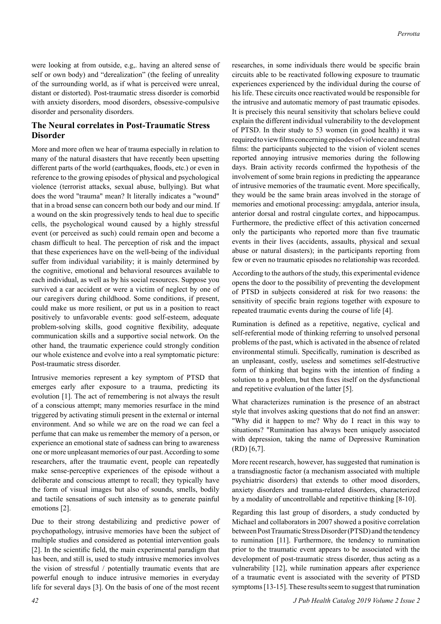were looking at from outside, e.g,. having an altered sense of self or own body) and "derealization" (the feeling of unreality of the surrounding world, as if what is perceived were unreal, distant or distorted). Post-traumatic stress disorder is comorbid with anxiety disorders, mood disorders, obsessive-compulsive disorder and personality disorders.

# **The Neural correlates in Post-Traumatic Stress Disorder**

More and more often we hear of trauma especially in relation to many of the natural disasters that have recently been upsetting different parts of the world (earthquakes, floods, etc.) or even in reference to the growing episodes of physical and psychological violence (terrorist attacks, sexual abuse, bullying). But what does the word "trauma" mean? It literally indicates a "wound" that in a broad sense can concern both our body and our mind. If a wound on the skin progressively tends to heal due to specific cells, the psychological wound caused by a highly stressful event (or perceived as such) could remain open and become a chasm difficult to heal. The perception of risk and the impact that these experiences have on the well-being of the individual suffer from individual variability; it is mainly determined by the cognitive, emotional and behavioral resources available to each individual, as well as by his social resources. Suppose you survived a car accident or were a victim of neglect by one of our caregivers during childhood. Some conditions, if present, could make us more resilient, or put us in a position to react positively to unfavorable events: good self-esteem, adequate problem-solving skills, good cognitive flexibility, adequate communication skills and a supportive social network. On the other hand, the traumatic experience could strongly condition our whole existence and evolve into a real symptomatic picture: Post-traumatic stress disorder.

Intrusive memories represent a key symptom of PTSD that emerges early after exposure to a trauma, predicting its evolution [1]. The act of remembering is not always the result of a conscious attempt; many memories resurface in the mind triggered by activating stimuli present in the external or internal environment. And so while we are on the road we can feel a perfume that can make us remember the memory of a person, or experience an emotional state of sadness can bring to awareness one or more unpleasant memories of our past. According to some researchers, after the traumatic event, people can repeatedly make sense-perceptive experiences of the episode without a deliberate and conscious attempt to recall; they typically have the form of visual images but also of sounds, smells, bodily and tactile sensations of such intensity as to generate painful emotions [2].

Due to their strong destabilizing and predictive power of psychopathology, intrusive memories have been the subject of multiple studies and considered as potential intervention goals [2]. In the scientific field, the main experimental paradigm that has been, and still is, used to study intrusive memories involves the vision of stressful / potentially traumatic events that are powerful enough to induce intrusive memories in everyday life for several days [3]. On the basis of one of the most recent researches, in some individuals there would be specific brain circuits able to be reactivated following exposure to traumatic experiences experienced by the individual during the course of his life. These circuits once reactivated would be responsible for the intrusive and automatic memory of past traumatic episodes. It is precisely this neural sensitivity that scholars believe could explain the different individual vulnerability to the development of PTSD. In their study to 53 women (in good health) it was required to view films concerning episodes of violence and neutral films: the participants subjected to the vision of violent scenes reported annoying intrusive memories during the following days. Brain activity records confirmed the hypothesis of the involvement of some brain regions in predicting the appearance of intrusive memories of the traumatic event. More specifically, they would be the same brain areas involved in the storage of memories and emotional processing: amygdala, anterior insula, anterior dorsal and rostral cingulate cortex, and hippocampus. Furthermore, the predictive effect of this activation concerned only the participants who reported more than five traumatic events in their lives (accidents, assaults, physical and sexual abuse or natural disasters); in the participants reporting from few or even no traumatic episodes no relationship was recorded.

According to the authors of the study, this experimental evidence opens the door to the possibility of preventing the development of PTSD in subjects considered at risk for two reasons: the sensitivity of specific brain regions together with exposure to repeated traumatic events during the course of life [4].

Rumination is defined as a repetitive, negative, cyclical and self-referential mode of thinking referring to unsolved personal problems of the past, which is activated in the absence of related environmental stimuli. Specifically, rumination is described as an unpleasant, costly, useless and sometimes self-destructive form of thinking that begins with the intention of finding a solution to a problem, but then fixes itself on the dysfunctional and repetitive evaluation of the latter [5].

What characterizes rumination is the presence of an abstract style that involves asking questions that do not find an answer: "Why did it happen to me? Why do I react in this way to situations? "Rumination has always been uniquely associated with depression, taking the name of Depressive Rumination (RD) [6,7].

More recent research, however, has suggested that rumination is a transdiagnostic factor (a mechanism associated with multiple psychiatric disorders) that extends to other mood disorders, anxiety disorders and trauma-related disorders, characterized by a modality of uncontrollable and repetitive thinking [8-10].

Regarding this last group of disorders, a study conducted by Michael and collaborators in 2007 showed a positive correlation between Post Traumatic Stress Disorder (PTSD) and the tendency to rumination [11]. Furthermore, the tendency to rumination prior to the traumatic event appears to be associated with the development of post-traumatic stress disorder, thus acting as a vulnerability [12], while rumination appears after experience of a traumatic event is associated with the severity of PTSD symptoms [13-15]. These results seem to suggest that rumination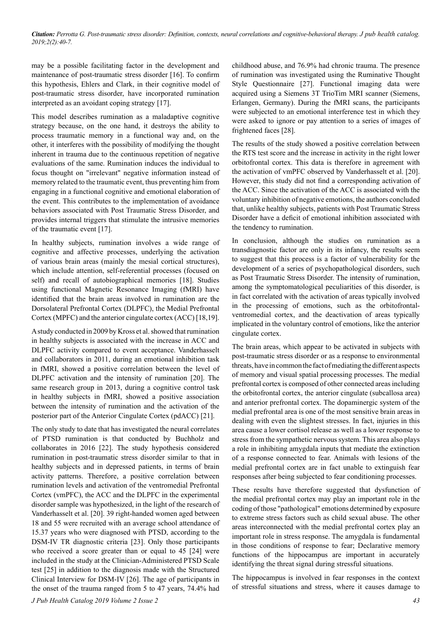may be a possible facilitating factor in the development and maintenance of post-traumatic stress disorder [16]. To confirm this hypothesis, Ehlers and Clark, in their cognitive model of post-traumatic stress disorder, have incorporated rumination interpreted as an avoidant coping strategy [17].

This model describes rumination as a maladaptive cognitive strategy because, on the one hand, it destroys the ability to process traumatic memory in a functional way and, on the other, it interferes with the possibility of modifying the thought inherent in trauma due to the continuous repetition of negative evaluations of the same. Rumination induces the individual to focus thought on "irrelevant" negative information instead of memory related to the traumatic event, thus preventing him from engaging in a functional cognitive and emotional elaboration of the event. This contributes to the implementation of avoidance behaviors associated with Post Traumatic Stress Disorder, and provides internal triggers that stimulate the intrusive memories of the traumatic event [17].

In healthy subjects, rumination involves a wide range of cognitive and affective processes, underlying the activation of various brain areas (mainly the mesial cortical structures), which include attention, self-referential processes (focused on self) and recall of autobiographical memories [18]. Studies using functional Magnetic Resonance Imaging (fMRI) have identified that the brain areas involved in rumination are the Dorsolateral Prefrontal Cortex (DLPFC), the Medial Prefrontal Cortex (MPFC) and the anterior cingulate cortex (ACC) [18,19].

A study conducted in 2009 by Kross et al. showed that rumination in healthy subjects is associated with the increase in ACC and DLPFC activity compared to event acceptance. Vanderhasselt and collaborators in 2011, during an emotional inhibition task in fMRI, showed a positive correlation between the level of DLPFC activation and the intensity of rumination [20]. The same research group in 2013, during a cognitive control task in healthy subjects in fMRI, showed a positive association between the intensity of rumination and the activation of the posterior part of the Anterior Cingulate Cortex (pdACC) [21].

The only study to date that has investigated the neural correlates of PTSD rumination is that conducted by Buchholz and collaborates in 2016 [22]. The study hypothesis considered rumination in post-traumatic stress disorder similar to that in healthy subjects and in depressed patients, in terms of brain activity patterns. Therefore, a positive correlation between rumination levels and activation of the ventromedial Prefrontal Cortex (vmPFC), the ACC and the DLPFC in the experimental disorder sample was hypothesized, in the light of the research of Vanderhasselt et al. [20]. 39 right-handed women aged between 18 and 55 were recruited with an average school attendance of 15.37 years who were diagnosed with PTSD, according to the DSM-IV TR diagnostic criteria [23]. Only those participants who received a score greater than or equal to 45 [24] were included in the study at the Clinician-Administered PTSD Scale test [25] in addition to the diagnosis made with the Structured Clinical Interview for DSM-IV [26]. The age of participants in the onset of the trauma ranged from 5 to 47 years, 74.4% had childhood abuse, and 76.9% had chronic trauma. The presence of rumination was investigated using the Ruminative Thought Style Questionnaire [27]. Functional imaging data were acquired using a Siemens 3T TrioTim MRI scanner (Siemens, Erlangen, Germany). During the fMRI scans, the participants were subjected to an emotional interference test in which they were asked to ignore or pay attention to a series of images of frightened faces [28].

The results of the study showed a positive correlation between the RTS test score and the increase in activity in the right lower orbitofrontal cortex. This data is therefore in agreement with the activation of vmPFC observed by Vanderhasselt et al. [20]. However, this study did not find a corresponding activation of the ACC. Since the activation of the ACC is associated with the voluntary inhibition of negative emotions, the authors concluded that, unlike healthy subjects, patients with Post Traumatic Stress Disorder have a deficit of emotional inhibition associated with the tendency to rumination.

In conclusion, although the studies on rumination as a transdiagnostic factor are only in its infancy, the results seem to suggest that this process is a factor of vulnerability for the development of a series of psychopathological disorders, such as Post Traumatic Stress Disorder. The intensity of rumination, among the symptomatological peculiarities of this disorder, is in fact correlated with the activation of areas typically involved in the processing of emotions, such as the orbitofrontalventromedial cortex, and the deactivation of areas typically implicated in the voluntary control of emotions, like the anterior cingulate cortex.

The brain areas, which appear to be activated in subjects with post-traumatic stress disorder or as a response to environmental threats, have in common the fact of mediating the different aspects of memory and visual spatial processing processes. The medial prefrontal cortex is composed of other connected areas including the orbitofrontal cortex, the anterior cingulate (subcallosa area) and anterior prefrontal cortex. The dopaminergic system of the medial prefrontal area is one of the most sensitive brain areas in dealing with even the slightest stresses. In fact, injuries in this area cause a lower cortisol release as well as a lower response to stress from the sympathetic nervous system. This area also plays a role in inhibiting amygdala inputs that mediate the extinction of a response connected to fear. Animals with lesions of the medial prefrontal cortex are in fact unable to extinguish fear responses after being subjected to fear conditioning processes.

These results have therefore suggested that dysfunction of the medial prefrontal cortex may play an important role in the coding of those "pathological" emotions determined by exposure to extreme stress factors such as child sexual abuse. The other areas interconnected with the medial prefrontal cortex play an important role in stress response. The amygdala is fundamental in those conditions of response to fear; Declarative memory functions of the hippocampus are important in accurately identifying the threat signal during stressful situations.

The hippocampus is involved in fear responses in the context of stressful situations and stress, where it causes damage to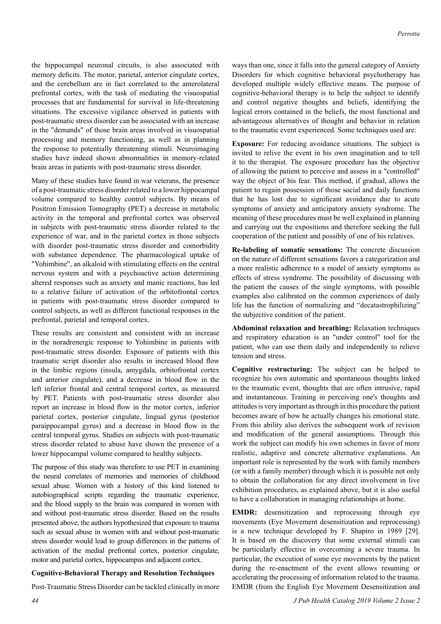the hippocampal neuronal circuits, is also associated with memory deficits. The motor, parietal, anterior cingulate cortex, and the cerebellum are in fact correlated to the anterolateral prefrontal cortex, with the task of mediating the visuospatial processes that are fundamental for survival in life-threatening situations. The excessive vigilance observed in patients with post-traumatic stress disorder can be associated with an increase in the "demands" of those brain areas involved in visuospatial processing and memory functioning, as well as in planning the response to potentially threatening stimuli. Neuroimaging studies have indeed shown abnormalities in memory-related brain areas in patients with post-traumatic stress disorder.

Many of these studies have found in war veterans, the presence of a post-traumatic stress disorder related to a lower hippocampal volume compared to healthy control subjects. By means of Positron Emission Tomography (PET) a decrease in metabolic activity in the temporal and prefrontal cortex was observed in subjects with post-traumatic stress disorder related to the experience of war, and in the parietal cortex in those subjects with disorder post-traumatic stress disorder and comorbidity with substance dependence. The pharmacological uptake of "Yohimbine", an alkaloid with stimulating effects on the central nervous system and with a psychoactive action determining altered responses such as anxiety and manic reactions, has led to a relative failure of activation of the orbitofrontal cortex in patients with post-traumatic stress disorder compared to control subjects, as well as different functional responses in the prefrontal, parietal and temporal cortex.

These results are consistent and consistent with an increase in the noradrenergic response to Yohimbine in patients with post-traumatic stress disorder. Exposure of patients with this traumatic script disorder also results in increased blood flow in the limbic regions (insula, amygdala, orbitofrontal cortex and anterior cingulate), and a decrease in blood flow in the left inferior frontal and central temporal cortex, as measured by PET. Patients with post-traumatic stress disorder also report an increase in blood flow in the motor cortex, inferior parietal cortex, posterior cingulate, lingual gyrus (posterior paraippocampal gyrus) and a decrease in blood flow in the central temporal gyrus. Studies on subjects with post-traumatic stress disorder related to abuse have shown the presence of a lower hippocampal volume compared to healthy subjects.

The purpose of this study was therefore to use PET in examining the neural correlates of memories and memories of childhood sexual abuse. Women with a history of this kind listened to autobiographical scripts regarding the traumatic experience, and the blood supply to the brain was compared in women with and without post-traumatic stress disorder. Based on the results presented above, the authors hypothesized that exposure to trauma such as sexual abuse in women with and without post-traumatic stress disorder would lead to group differences in the patterns of activation of the medial prefrontal cortex, posterior cingulate, motor and parietal cortex, hippocampus and adjacent cortex.

#### **Cognitive-Behavioral Therapy and Resolution Techniques**

Post-Traumatic Stress Disorder can be tackled clinically in more

ways than one, since it falls into the general category of Anxiety Disorders for which cognitive behavioral psychotherapy has developed multiple widely effective means. The purpose of cognitive-behavioral therapy is to help the subject to identify and control negative thoughts and beliefs, identifying the logical errors contained in the beliefs, the most functional and advantageous alternatives of thought and behavior in relation to the traumatic event experienced. Some techniques used are:

**Exposure:** For reducing avoidance situations. The subject is invited to relive the event in his own imagination and to tell it to the therapist. The exposure procedure has the objective of allowing the patient to perceive and assess in a "controlled" way the object of his fear. This method, if gradual, allows the patient to regain possession of those social and daily functions that he has lost due to significant avoidance due to acute symptoms of anxiety and anticipatory anxiety syndrome. The meaning of these procedures must be well explained in planning and carrying out the expositions and therefore seeking the full cooperation of the patient and possibly of one of his relatives.

**Re-labeling of somatic sensations:** The concrete discussion on the nature of different sensations favors a categorization and a more realistic adherence to a model of anxiety symptoms as effects of stress syndrome. The possibility of discussing with the patient the causes of the single symptoms, with possible examples also calibrated on the common experiences of daily life has the function of normalizing and "decatastrophilizing" the subjective condition of the patient.

**Abdominal relaxation and breathing:** Relaxation techniques and respiratory education is an "under control" tool for the patient, who can use them daily and independently to relieve tension and stress.

**Cognitive restructuring:** The subject can be helped to recognize his own automatic and spontaneous thoughts linked to the traumatic event, thoughts that are often intrusive, rapid and instantaneous. Training in perceiving one's thoughts and attitudes is very important as through in this procedure the patient becomes aware of how he actually changes his emotional state. From this ability also derives the subsequent work of revision and modification of the general assumptions. Through this work the subject can modify his own schemes in favor of more realistic, adaptive and concrete alternative explanations. An important role is represented by the work with family members (or with a family member) through which it is possible not only to obtain the collaboration for any direct involvement in live exhibition procedures, as explained above, but it is also useful to have a collaboration in managing relationships at home.

**EMDR:** desensitization and reprocessing through eye movements (Eye Movement desensitization and reprocessing) is a new technique developed by F. Shapiro in 1989 [29]. It is based on the discovery that some external stimuli can be particularly effective in overcoming a severe trauma. In particular, the execution of some eye movements by the patient during the re-enactment of the event allows resuming or accelerating the processing of information related to the trauma. EMDR (from the English Eye Movement Desensitization and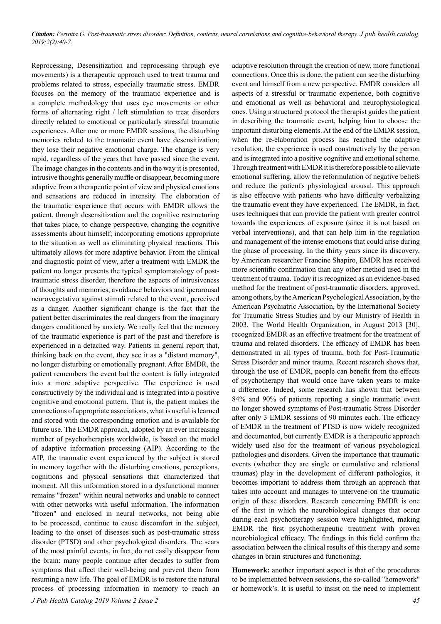Reprocessing, Desensitization and reprocessing through eye movements) is a therapeutic approach used to treat trauma and problems related to stress, especially traumatic stress. EMDR focuses on the memory of the traumatic experience and is a complete methodology that uses eye movements or other forms of alternating right / left stimulation to treat disorders directly related to emotional or particularly stressful traumatic experiences. After one or more EMDR sessions, the disturbing memories related to the traumatic event have desensitization; they lose their negative emotional charge. The change is very rapid, regardless of the years that have passed since the event. The image changes in the contents and in the way it is presented, intrusive thoughts generally muffle or disappear, becoming more adaptive from a therapeutic point of view and physical emotions and sensations are reduced in intensity. The elaboration of the traumatic experience that occurs with EMDR allows the patient, through desensitization and the cognitive restructuring that takes place, to change perspective, changing the cognitive assessments about himself; incorporating emotions appropriate to the situation as well as eliminating physical reactions. This ultimately allows for more adaptive behavior. From the clinical and diagnostic point of view, after a treatment with EMDR the patient no longer presents the typical symptomatology of posttraumatic stress disorder, therefore the aspects of intrusiveness of thoughts and memories, avoidance behaviors and iperarousal neurovegetativo against stimuli related to the event, perceived as a danger. Another significant change is the fact that the patient better discriminates the real dangers from the imaginary dangers conditioned by anxiety. We really feel that the memory of the traumatic experience is part of the past and therefore is experienced in a detached way. Patients in general report that, thinking back on the event, they see it as a "distant memory", no longer disturbing or emotionally pregnant. After EMDR, the patient remembers the event but the content is fully integrated into a more adaptive perspective. The experience is used constructively by the individual and is integrated into a positive cognitive and emotional pattern. That is, the patient makes the connections of appropriate associations, what is useful is learned and stored with the corresponding emotion and is available for future use. The EMDR approach, adopted by an ever increasing number of psychotherapists worldwide, is based on the model of adaptive information processing (AIP). According to the AIP, the traumatic event experienced by the subject is stored in memory together with the disturbing emotions, perceptions, cognitions and physical sensations that characterized that moment. All this information stored in a dysfunctional manner remains "frozen" within neural networks and unable to connect with other networks with useful information. The information "frozen" and enclosed in neural networks, not being able to be processed, continue to cause discomfort in the subject, leading to the onset of diseases such as post-traumatic stress disorder (PTSD) and other psychological disorders. The scars of the most painful events, in fact, do not easily disappear from the brain: many people continue after decades to suffer from symptoms that affect their well-being and prevent them from resuming a new life. The goal of EMDR is to restore the natural process of processing information in memory to reach an

*J Pub Health Catalog 2019 Volume 2 Issue 2*

adaptive resolution through the creation of new, more functional connections. Once this is done, the patient can see the disturbing event and himself from a new perspective. EMDR considers all aspects of a stressful or traumatic experience, both cognitive and emotional as well as behavioral and neurophysiological ones. Using a structured protocol the therapist guides the patient in describing the traumatic event, helping him to choose the important disturbing elements. At the end of the EMDR session, when the re-elaboration process has reached the adaptive resolution, the experience is used constructively by the person and is integrated into a positive cognitive and emotional scheme. Through treatment with EMDR it is therefore possible to alleviate emotional suffering, allow the reformulation of negative beliefs and reduce the patient's physiological arousal. This approach is also effective with patients who have difficulty verbalizing the traumatic event they have experienced. The EMDR, in fact, uses techniques that can provide the patient with greater control towards the experiences of exposure (since it is not based on verbal interventions), and that can help him in the regulation and management of the intense emotions that could arise during the phase of processing. In the thirty years since its discovery, by American researcher Francine Shapiro, EMDR has received more scientific confirmation than any other method used in the treatment of trauma. Today it is recognized as an evidence-based method for the treatment of post-traumatic disorders, approved, among others, by the American Psychological Association, by the American Psychiatric Association, by the International Society for Traumatic Stress Studies and by our Ministry of Health in 2003. The World Health Organization, in August 2013 [30], recognized EMDR as an effective treatment for the treatment of trauma and related disorders. The efficacy of EMDR has been demonstrated in all types of trauma, both for Post-Traumatic Stress Disorder and minor trauma. Recent research shows that, through the use of EMDR, people can benefit from the effects of psychotherapy that would once have taken years to make a difference. Indeed, some research has shown that between 84% and 90% of patients reporting a single traumatic event no longer showed symptoms of Post-traumatic Stress Disorder after only 3 EMDR sessions of 90 minutes each. The efficacy of EMDR in the treatment of PTSD is now widely recognized and documented, but currently EMDR is a therapeutic approach widely used also for the treatment of various psychological pathologies and disorders. Given the importance that traumatic events (whether they are single or cumulative and relational traumas) play in the development of different pathologies, it becomes important to address them through an approach that takes into account and manages to intervene on the traumatic origin of these disorders. Research concerning EMDR is one of the first in which the neurobiological changes that occur during each psychotherapy session were highlighted, making EMDR the first psychotherapeutic treatment with proven neurobiological efficacy. The findings in this field confirm the association between the clinical results of this therapy and some changes in brain structures and functioning.

**Homework:** another important aspect is that of the procedures to be implemented between sessions, the so-called "homework" or homework's. It is useful to insist on the need to implement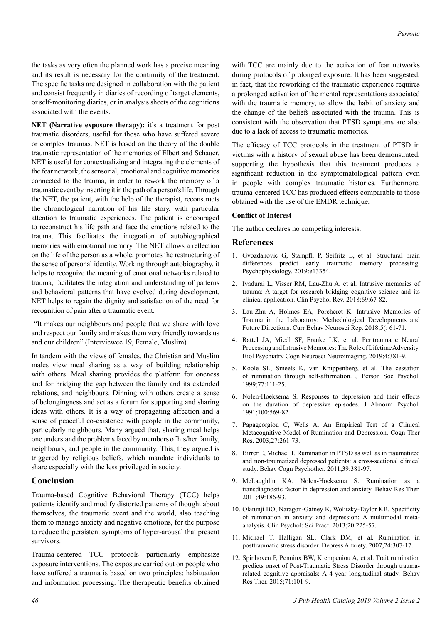the tasks as very often the planned work has a precise meaning and its result is necessary for the continuity of the treatment. The specific tasks are designed in collaboration with the patient and consist frequently in diaries of recording of target elements, or self-monitoring diaries, or in analysis sheets of the cognitions associated with the events.

NET (Narrative exposure therapy): it's a treatment for post traumatic disorders, useful for those who have suffered severe or complex traumas. NET is based on the theory of the double traumatic representation of the memories of Elbert and Schauer. NET is useful for contextualizing and integrating the elements of the fear network, the sensorial, emotional and cognitive memories connected to the trauma, in order to rework the memory of a traumatic event by inserting it in the path of a person's life. Through the NET, the patient, with the help of the therapist, reconstructs the chronological narration of his life story, with particular attention to traumatic experiences. The patient is encouraged to reconstruct his life path and face the emotions related to the trauma. This facilitates the integration of autobiographical memories with emotional memory. The NET allows a reflection on the life of the person as a whole, promotes the restructuring of the sense of personal identity. Working through autobiography, it helps to recognize the meaning of emotional networks related to trauma, facilitates the integration and understanding of patterns and behavioral patterns that have evolved during development. NET helps to regain the dignity and satisfaction of the need for recognition of pain after a traumatic event.

 "It makes our neighbours and people that we share with love and respect our family and makes them very friendly towards us and our children" (Interviewee 19, Female, Muslim)

In tandem with the views of females, the Christian and Muslim males view meal sharing as a way of building relationship with others. Meal sharing provides the platform for oneness and for bridging the gap between the family and its extended relations, and neighbours. Dinning with others create a sense of belongingness and act as a forum for supporting and sharing ideas with others. It is a way of propagating affection and a sense of peaceful co-existence with people in the community, particularly neighbours. Many argued that, sharing meal helps one understand the problems faced by members of his/her family, neighbours, and people in the community. This, they argued is triggered by religious beliefs, which mandate individuals to share especially with the less privileged in society.

## **Conclusion**

Trauma-based Cognitive Behavioral Therapy (TCC) helps patients identify and modify distorted patterns of thought about themselves, the traumatic event and the world, also teaching them to manage anxiety and negative emotions, for the purpose to reduce the persistent symptoms of hyper-arousal that present survivors.

Trauma-centered TCC protocols particularly emphasize exposure interventions. The exposure carried out on people who have suffered a trauma is based on two principles: habituation and information processing. The therapeutic benefits obtained with TCC are mainly due to the activation of fear networks during protocols of prolonged exposure. It has been suggested, in fact, that the reworking of the traumatic experience requires a prolonged activation of the mental representations associated with the traumatic memory, to allow the habit of anxiety and the change of the beliefs associated with the trauma. This is consistent with the observation that PTSD symptoms are also due to a lack of access to traumatic memories.

The efficacy of TCC protocols in the treatment of PTSD in victims with a history of sexual abuse has been demonstrated, supporting the hypothesis that this treatment produces a significant reduction in the symptomatological pattern even in people with complex traumatic histories. Furthermore, trauma-centered TCC has produced effects comparable to those obtained with the use of the EMDR technique.

#### **Conflict of Interest**

The author declares no competing interests.

## **References**

- 1. Gvozdanovic G, Stampfli P, Seifritz E, et al. Structural brain differences predict early traumatic memory processing. Psychophysiology. 2019:e13354.
- 2. Iyadurai L, Visser RM, Lau-Zhu A, et al. Intrusive memories of trauma: A target for research bridging cognitive science and its clinical application. Clin Psychol Rev. 2018;69:67-82.
- 3. Lau-Zhu A, Holmes EA, Porcheret K. Intrusive Memories of Trauma in the Laboratory: Methodological Developments and Future Directions. Curr Behav Neurosci Rep. 2018;5(: 61-71.
- 4. Rattel JA, Miedl SF, Franke LK, et al. Peritraumatic Neural Processing and Intrusive Memories: The Role of Lifetime Adversity. Biol Psychiatry Cogn Neurosci Neuroimaging. 2019;4:381-9.
- 5. Koole SL, Smeets K, van Knippenberg, et al. The cessation of rumination through self-affirmation. J Person Soc Psychol. 1999;77:111-25.
- 6. Nolen-Hoeksema S. Responses to depression and their effects on the duration of depressive episodes. J Abnorm Psychol. 1991;100:569-82.
- 7. Papageorgiou C, Wells A. An Empirical Test of a Clinical Metacognitive Model of Rumination and Depression. Cogn Ther Res. 2003;27:261-73.
- 8. Birrer E, Michael T. Rumination in PTSD as well as in traumatized and non-traumatized depressed patients: a cross-sectional clinical study. Behav Cogn Psychother. 2011;39:381-97.
- 9. McLaughlin KA, Nolen-Hoeksema S. Rumination as a transdiagnostic factor in depression and anxiety. Behav Res Ther. 2011;49:186-93.
- 10. Olatunji BO, Naragon-Gainey K, Wolitzky-Taylor KB. Specificity of rumination in anxiety and depression: A multimodal metaanalysis. Clin Psychol: Sci Pract. 2013;20:225-57.
- 11. Michael T, Halligan SL, Clark DM, et al. Rumination in posttraumatic stress disorder. Depress Anxiety. 2007;24:307-17.
- 12. Spinhoven P, Penninx BW, Krempeniou A, et al. Trait rumination predicts onset of Post-Traumatic Stress Disorder through traumarelated cognitive appraisals: A 4-year longitudinal study. Behav Res Ther. 2015;71:101-9.